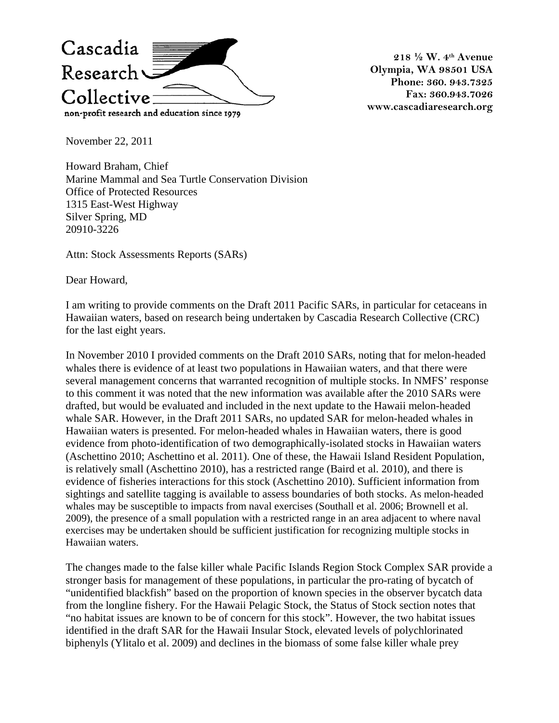

**218 ½ W. 4th Avenue Olympia, WA 98501 USA Phone: 360. 943.7325 Fax: 360.943.7026 www.cascadiaresearch.org** 

November 22, 2011

Howard Braham, Chief Marine Mammal and Sea Turtle Conservation Division Office of Protected Resources 1315 East-West Highway Silver Spring, MD 20910-3226

Attn: Stock Assessments Reports (SARs)

Dear Howard,

I am writing to provide comments on the Draft 2011 Pacific SARs, in particular for cetaceans in Hawaiian waters, based on research being undertaken by Cascadia Research Collective (CRC) for the last eight years.

In November 2010 I provided comments on the Draft 2010 SARs, noting that for melon-headed whales there is evidence of at least two populations in Hawaiian waters, and that there were several management concerns that warranted recognition of multiple stocks. In NMFS' response to this comment it was noted that the new information was available after the 2010 SARs were drafted, but would be evaluated and included in the next update to the Hawaii melon-headed whale SAR. However, in the Draft 2011 SARs, no updated SAR for melon-headed whales in Hawaiian waters is presented. For melon-headed whales in Hawaiian waters, there is good evidence from photo-identification of two demographically-isolated stocks in Hawaiian waters (Aschettino 2010; Aschettino et al. 2011). One of these, the Hawaii Island Resident Population, is relatively small (Aschettino 2010), has a restricted range (Baird et al. 2010), and there is evidence of fisheries interactions for this stock (Aschettino 2010). Sufficient information from sightings and satellite tagging is available to assess boundaries of both stocks. As melon-headed whales may be susceptible to impacts from naval exercises (Southall et al. 2006; Brownell et al. 2009), the presence of a small population with a restricted range in an area adjacent to where naval exercises may be undertaken should be sufficient justification for recognizing multiple stocks in Hawaiian waters.

The changes made to the false killer whale Pacific Islands Region Stock Complex SAR provide a stronger basis for management of these populations, in particular the pro-rating of bycatch of "unidentified blackfish" based on the proportion of known species in the observer bycatch data from the longline fishery. For the Hawaii Pelagic Stock, the Status of Stock section notes that "no habitat issues are known to be of concern for this stock". However, the two habitat issues identified in the draft SAR for the Hawaii Insular Stock, elevated levels of polychlorinated biphenyls (Ylitalo et al. 2009) and declines in the biomass of some false killer whale prey